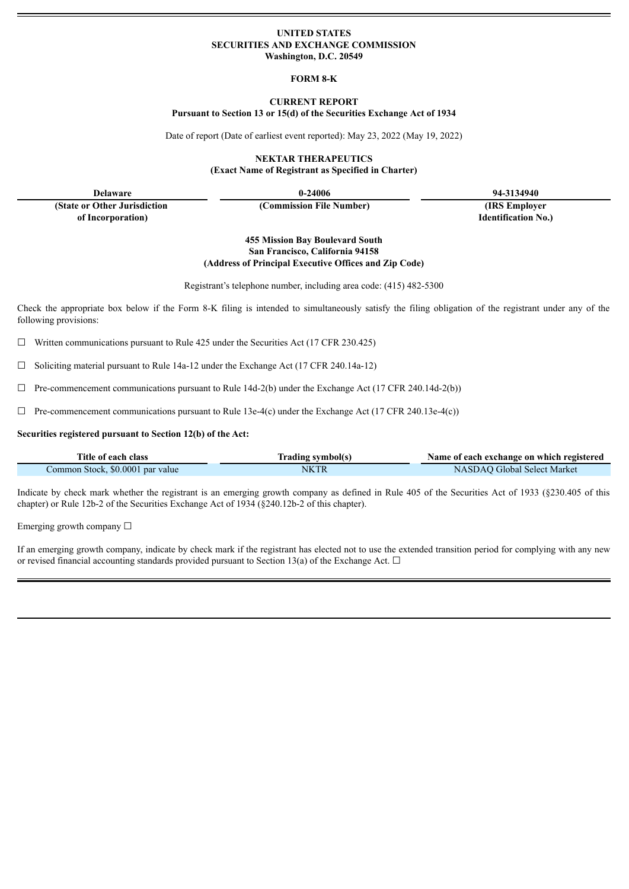### **UNITED STATES SECURITIES AND EXCHANGE COMMISSION Washington, D.C. 20549**

# **FORM 8-K**

#### **CURRENT REPORT Pursuant to Section 13 or 15(d) of the Securities Exchange Act of 1934**

Date of report (Date of earliest event reported): May 23, 2022 (May 19, 2022)

**NEKTAR THERAPEUTICS (Exact Name of Registrant as Specified in Charter)**

**Delaware 0-24006 94-3134940**

**(State or Other Jurisdiction of Incorporation)**

**(Commission File Number) (IRS Employer**

**Identification No.)**

**455 Mission Bay Boulevard South San Francisco, California 94158 (Address of Principal Executive Offices and Zip Code)**

Registrant's telephone number, including area code: (415) 482-5300

Check the appropriate box below if the Form 8-K filing is intended to simultaneously satisfy the filing obligation of the registrant under any of the following provisions:

 $\Box$  Written communications pursuant to Rule 425 under the Securities Act (17 CFR 230.425)

☐ Soliciting material pursuant to Rule 14a-12 under the Exchange Act (17 CFR 240.14a-12)

 $\Box$  Pre-commencement communications pursuant to Rule 14d-2(b) under the Exchange Act (17 CFR 240.14d-2(b))

 $\Box$  Pre-commencement communications pursuant to Rule 13e-4(c) under the Exchange Act (17 CFR 240.13e-4(c))

#### **Securities registered pursuant to Section 12(b) of the Act:**

| Title of each class              | Trading symbol(s) | Name of each exchange on which registered |
|----------------------------------|-------------------|-------------------------------------------|
| Common Stock, \$0,0001 par value | NKTR              | NASDAO Global Select Market               |

Indicate by check mark whether the registrant is an emerging growth company as defined in Rule 405 of the Securities Act of 1933 (§230.405 of this chapter) or Rule 12b-2 of the Securities Exchange Act of 1934 (§240.12b-2 of this chapter).

Emerging growth company  $\Box$ 

If an emerging growth company, indicate by check mark if the registrant has elected not to use the extended transition period for complying with any new or revised financial accounting standards provided pursuant to Section 13(a) of the Exchange Act.  $\Box$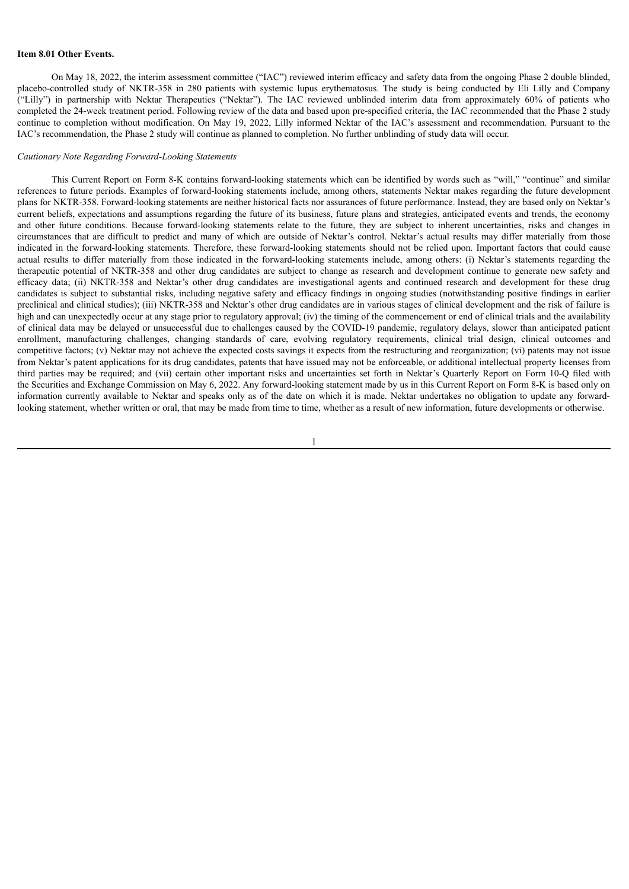#### **Item 8.01 Other Events.**

On May 18, 2022, the interim assessment committee ("IAC") reviewed interim efficacy and safety data from the ongoing Phase 2 double blinded, placebo-controlled study of NKTR-358 in 280 patients with systemic lupus erythematosus. The study is being conducted by Eli Lilly and Company ("Lilly") in partnership with Nektar Therapeutics ("Nektar"). The IAC reviewed unblinded interim data from approximately 60% of patients who completed the 24-week treatment period. Following review of the data and based upon pre-specified criteria, the IAC recommended that the Phase 2 study continue to completion without modification. On May 19, 2022, Lilly informed Nektar of the IAC's assessment and recommendation. Pursuant to the IAC's recommendation, the Phase 2 study will continue as planned to completion. No further unblinding of study data will occur.

#### *Cautionary Note Regarding Forward-Looking Statements*

This Current Report on Form 8-K contains forward-looking statements which can be identified by words such as "will," "continue" and similar references to future periods. Examples of forward-looking statements include, among others, statements Nektar makes regarding the future development plans for NKTR-358. Forward-looking statements are neither historical facts nor assurances of future performance. Instead, they are based only on Nektar's current beliefs, expectations and assumptions regarding the future of its business, future plans and strategies, anticipated events and trends, the economy and other future conditions. Because forward-looking statements relate to the future, they are subject to inherent uncertainties, risks and changes in circumstances that are difficult to predict and many of which are outside of Nektar's control. Nektar's actual results may differ materially from those indicated in the forward-looking statements. Therefore, these forward-looking statements should not be relied upon. Important factors that could cause actual results to differ materially from those indicated in the forward-looking statements include, among others: (i) Nektar's statements regarding the therapeutic potential of NKTR-358 and other drug candidates are subject to change as research and development continue to generate new safety and efficacy data; (ii) NKTR-358 and Nektar's other drug candidates are investigational agents and continued research and development for these drug candidates is subject to substantial risks, including negative safety and efficacy findings in ongoing studies (notwithstanding positive findings in earlier preclinical and clinical studies); (iii) NKTR-358 and Nektar's other drug candidates are in various stages of clinical development and the risk of failure is high and can unexpectedly occur at any stage prior to regulatory approval; (iv) the timing of the commencement or end of clinical trials and the availability of clinical data may be delayed or unsuccessful due to challenges caused by the COVID-19 pandemic, regulatory delays, slower than anticipated patient enrollment, manufacturing challenges, changing standards of care, evolving regulatory requirements, clinical trial design, clinical outcomes and competitive factors; (v) Nektar may not achieve the expected costs savings it expects from the restructuring and reorganization; (vi) patents may not issue from Nektar's patent applications for its drug candidates, patents that have issued may not be enforceable, or additional intellectual property licenses from third parties may be required; and (vii) certain other important risks and uncertainties set forth in Nektar's Quarterly Report on Form 10-Q filed with the Securities and Exchange Commission on May 6, 2022. Any forward-looking statement made by us in this Current Report on Form 8-K is based only on information currently available to Nektar and speaks only as of the date on which it is made. Nektar undertakes no obligation to update any forwardlooking statement, whether written or oral, that may be made from time to time, whether as a result of new information, future developments or otherwise.

1